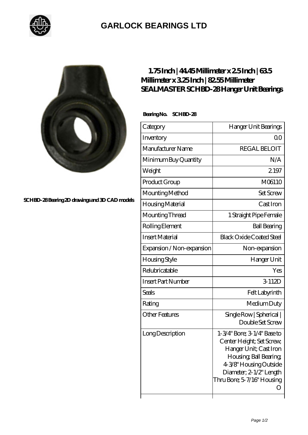

## **[GARLOCK BEARINGS LTD](https://m.letterstopriests.com)**



**[SCHBD-28 Bearing 2D drawings and 3D CAD models](https://m.letterstopriests.com/pic-189026.html)**

## **[1.75 Inch | 44.45 Millimeter x 2.5 Inch | 63.5](https://m.letterstopriests.com/by-189026-sealmaster-schbd-28-hanger-unit-bearings.html) [Millimeter x 3.25 Inch | 82.55 Millimeter](https://m.letterstopriests.com/by-189026-sealmaster-schbd-28-hanger-unit-bearings.html) [SEALMASTER SCHBD-28 Hanger Unit Bearings](https://m.letterstopriests.com/by-189026-sealmaster-schbd-28-hanger-unit-bearings.html)**

 **Bearing No. SCHBD-28**

| Category                  | Hanger Unit Bearings                                                                                                                                                                            |
|---------------------------|-------------------------------------------------------------------------------------------------------------------------------------------------------------------------------------------------|
| Inventory                 | QO                                                                                                                                                                                              |
| Manufacturer Name         | <b>REGAL BELOIT</b>                                                                                                                                                                             |
| Minimum Buy Quantity      | N/A                                                                                                                                                                                             |
| Weight                    | 2.197                                                                                                                                                                                           |
| Product Group             | M06110                                                                                                                                                                                          |
| Mounting Method           | <b>Set Screw</b>                                                                                                                                                                                |
| Housing Material          | Cast Iron                                                                                                                                                                                       |
| Mounting Thread           | 1 Straight Pipe Female                                                                                                                                                                          |
| Rolling Element           | <b>Ball Bearing</b>                                                                                                                                                                             |
| <b>Insert Material</b>    | <b>Black Oxide Coated Steel</b>                                                                                                                                                                 |
| Expansion / Non-expansion | Non-expansion                                                                                                                                                                                   |
| Housing Style             | Hanger Unit                                                                                                                                                                                     |
| Relubricatable            | Yes                                                                                                                                                                                             |
| <b>Insert Part Number</b> | 3-112D                                                                                                                                                                                          |
| <b>Seals</b>              | Felt Labyrinth                                                                                                                                                                                  |
| Rating                    | Medium Duty                                                                                                                                                                                     |
| <b>Other Features</b>     | Single Row   Spherical  <br>Double Set Screw                                                                                                                                                    |
| Long Description          | 1-3/4" Bore; 3-1/4" Base to<br>Center Height; Set Screw,<br>Hanger Unit; Cast Iron<br>Housing, Ball Bearing,<br>4-3/8" Housing Outside<br>Diameter; 2-1/2" Length<br>Thru Bore; 5-7/16" Housing |